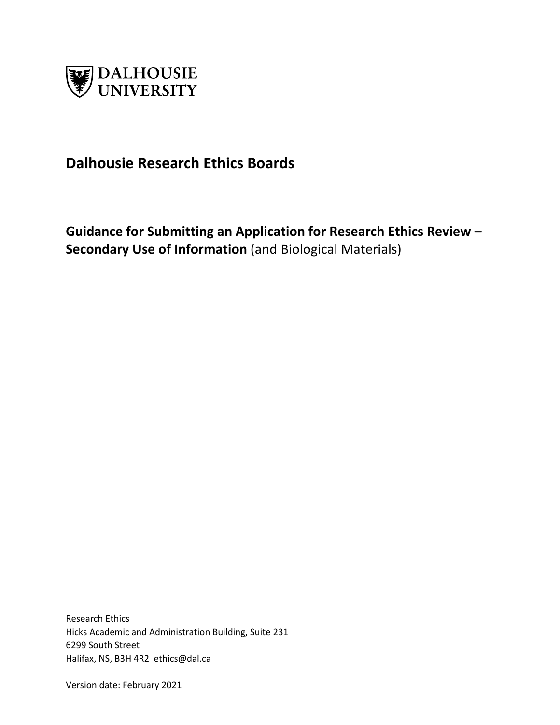

# **Dalhousie Research Ethics Boards**

**Guidance for Submitting an Application for Research Ethics Review – Secondary Use of Information** (and Biological Materials)

Research Ethics Hicks Academic and Administration Building, Suite 231 6299 South Street Halifax, NS, B3H 4R2 ethics@dal.ca

Version date: February 2021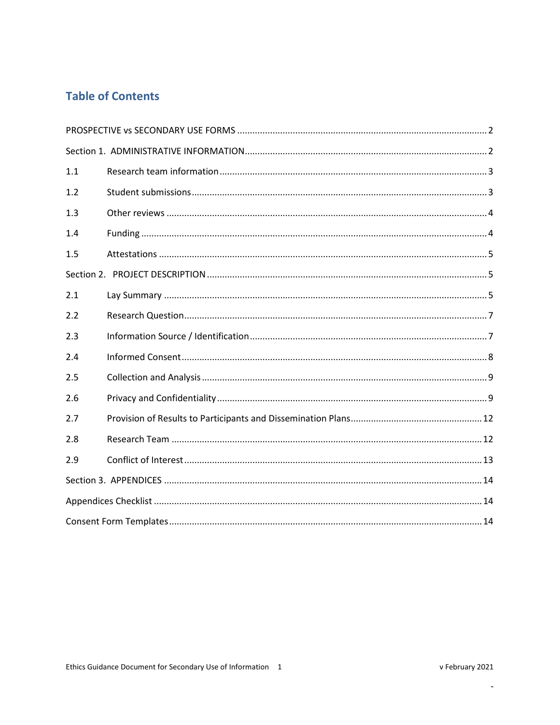## **Table of Contents**

| 1.1 |  |
|-----|--|
| 1.2 |  |
| 1.3 |  |
| 1.4 |  |
| 1.5 |  |
|     |  |
| 2.1 |  |
| 2.2 |  |
| 2.3 |  |
| 2.4 |  |
| 2.5 |  |
| 2.6 |  |
| 2.7 |  |
| 2.8 |  |
| 2.9 |  |
|     |  |
|     |  |
|     |  |

 $\mathbb{L}$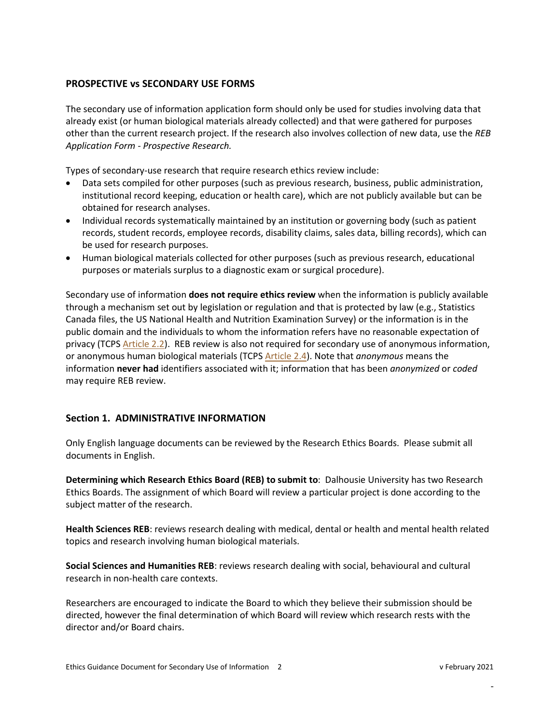#### <span id="page-2-0"></span>**PROSPECTIVE vs SECONDARY USE FORMS**

The secondary use of information application form should only be used for studies involving data that already exist (or human biological materials already collected) and that were gathered for purposes other than the current research project. If the research also involves collection of new data, use the *REB Application Form - Prospective Research.*

Types of secondary-use research that require research ethics review include:

- Data sets compiled for other purposes (such as previous research, business, public administration, institutional record keeping, education or health care), which are not publicly available but can be obtained for research analyses.
- Individual records systematically maintained by an institution or governing body (such as patient records, student records, employee records, disability claims, sales data, billing records), which can be used for research purposes.
- Human biological materials collected for other purposes (such as previous research, educational purposes or materials surplus to a diagnostic exam or surgical procedure).

Secondary use of information **does not require ethics review** when the information is publicly available through a mechanism set out by legislation or regulation and that is protected by law (e.g., Statistics Canada files, the US National Health and Nutrition Examination Survey) or the information is in the public domain and the individuals to whom the information refers have no reasonable expectation of privacy (TCPS [Article](http://www.pre.ethics.gc.ca/eng/tcps2-eptc2_2018_chapter2-chapitre2.html#a) 2.2). REB review is also not required for secondary use of anonymous information, or anonymous human biological materials (TCPS [Article 2.4\)](http://pre.ethics.gc.ca/eng/tcps2-eptc2_2018_chapter2-chapitre2.html#a). Note that *anonymous* means the information **never had** identifiers associated with it; information that has been *anonymized* or *coded* may require REB review.

#### <span id="page-2-1"></span>**Section 1. ADMINISTRATIVE INFORMATION**

Only English language documents can be reviewed by the Research Ethics Boards. Please submit all documents in English.

**Determining which Research Ethics Board (REB) to submit to**: Dalhousie University has two Research Ethics Boards. The assignment of which Board will review a particular project is done according to the subject matter of the research.

**Health Sciences REB**: reviews research dealing with medical, dental or health and mental health related topics and research involving human biological materials.

**Social Sciences and Humanities REB**: reviews research dealing with social, behavioural and cultural research in non-health care contexts.

Researchers are encouraged to indicate the Board to which they believe their submission should be directed, however the final determination of which Board will review which research rests with the director and/or Board chairs.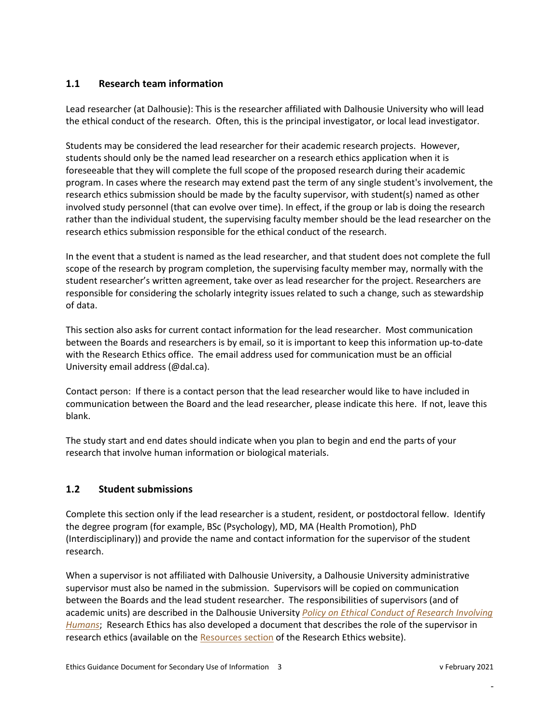## <span id="page-3-0"></span>**1.1 Research team information**

Lead researcher (at Dalhousie): This is the researcher affiliated with Dalhousie University who will lead the ethical conduct of the research. Often, this is the principal investigator, or local lead investigator.

Students may be considered the lead researcher for their academic research projects. However, students should only be the named lead researcher on a research ethics application when it is foreseeable that they will complete the full scope of the proposed research during their academic program. In cases where the research may extend past the term of any single student's involvement, the research ethics submission should be made by the faculty supervisor, with student(s) named as other involved study personnel (that can evolve over time). In effect, if the group or lab is doing the research rather than the individual student, the supervising faculty member should be the lead researcher on the research ethics submission responsible for the ethical conduct of the research.

In the event that a student is named as the lead researcher, and that student does not complete the full scope of the research by program completion, the supervising faculty member may, normally with the student researcher's written agreement, take over as lead researcher for the project. Researchers are responsible for considering the scholarly integrity issues related to such a change, such as stewardship of data.

This section also asks for current contact information for the lead researcher. Most communication between the Boards and researchers is by email, so it is important to keep this information up-to-date with the Research Ethics office. The email address used for communication must be an official University email address (@dal.ca).

Contact person: If there is a contact person that the lead researcher would like to have included in communication between the Board and the lead researcher, please indicate this here. If not, leave this blank.

The study start and end dates should indicate when you plan to begin and end the parts of your research that involve human information or biological materials.

## <span id="page-3-1"></span>**1.2 Student submissions**

Complete this section only if the lead researcher is a student, resident, or postdoctoral fellow. Identify the degree program (for example, BSc (Psychology), MD, MA (Health Promotion), PhD (Interdisciplinary)) and provide the name and contact information for the supervisor of the student research.

When a supervisor is not affiliated with Dalhousie University, a Dalhousie University administrative supervisor must also be named in the submission. Supervisors will be copied on communication between the Boards and the lead student researcher. The responsibilities of supervisors (and of academic units) are described in the Dalhousie University *Policy on Ethical [Conduct of Research](https://www.dal.ca/dept/university_secretariat/policies/human-rights---equity/ethical-conduct-of-research-involving-humans-policy.html?cq_ck=1391184251453.html) Involving [Humans](https://www.dal.ca/dept/university_secretariat/policies/human-rights---equity/ethical-conduct-of-research-involving-humans-policy.html?cq_ck=1391184251453.html)*; Research Ethics has also developed a document that describes the role of the supervisor in research ethics (available on the [Resources section](https://www.dal.ca/dept/research-services/responsible-conduct-/research-ethics-/resources-.html) of the Research Ethics website).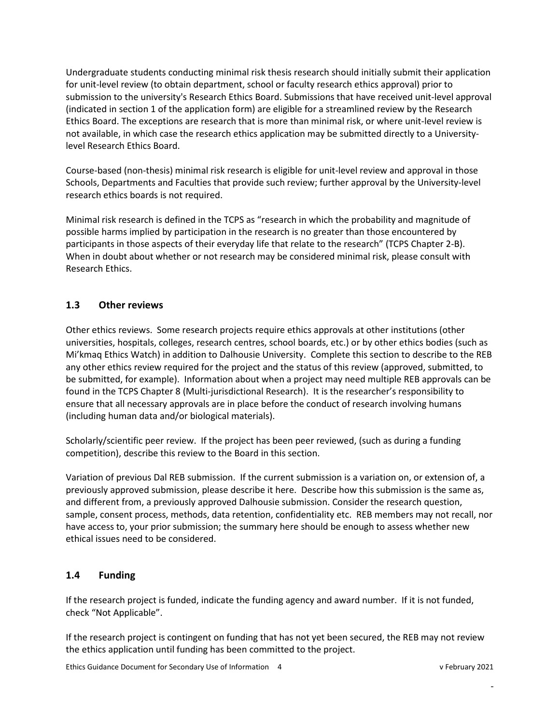Undergraduate students conducting minimal risk thesis research should initially submit their application for unit-level review (to obtain department, school or faculty research ethics approval) prior to submission to the university's Research Ethics Board. Submissions that have received unit-level approval (indicated in section 1 of the application form) are eligible for a streamlined review by the Research Ethics Board. The exceptions are research that is more than minimal risk, or where unit-level review is not available, in which case the research ethics application may be submitted directly to a Universitylevel Research Ethics Board.

Course-based (non-thesis) minimal risk research is eligible for unit-level review and approval in those Schools, Departments and Faculties that provide such review; further approval by the University-level research ethics boards is not required.

Minimal risk research is defined in the TCPS as "research in which the probability and magnitude of possible harms implied by participation in the research is no greater than those encountered by participants in those aspects of their everyday life that relate to the research" (TCPS Chapter 2-B). When in doubt about whether or not research may be considered minimal risk, please consult with Research Ethics.

## <span id="page-4-0"></span>**1.3 Other reviews**

Other ethics reviews. Some research projects require ethics approvals at other institutions (other universities, hospitals, colleges, research centres, school boards, etc.) or by other ethics bodies (such as Mi'kmaq Ethics Watch) in addition to Dalhousie University. Complete this section to describe to the REB any other ethics review required for the project and the status of this review (approved, submitted, to be submitted, for example). Information about when a project may need multiple REB approvals can be found in the TCPS Chapter 8 (Multi-jurisdictional Research). It is the researcher's responsibility to ensure that all necessary approvals are in place before the conduct of research involving humans (including human data and/or biological materials).

Scholarly/scientific peer review. If the project has been peer reviewed, (such as during a funding competition), describe this review to the Board in this section.

Variation of previous Dal REB submission. If the current submission is a variation on, or extension of, a previously approved submission, please describe it here. Describe how this submission is the same as, and different from, a previously approved Dalhousie submission. Consider the research question, sample, consent process, methods, data retention, confidentiality etc. REB members may not recall, nor have access to, your prior submission; the summary here should be enough to assess whether new ethical issues need to be considered.

## <span id="page-4-1"></span>**1.4 Funding**

If the research project is funded, indicate the funding agency and award number. If it is not funded, check "Not Applicable".

If the research project is contingent on funding that has not yet been secured, the REB may not review the ethics application until funding has been committed to the project.

Ethics Guidance Document for Secondary Use of Information 4 v February 2021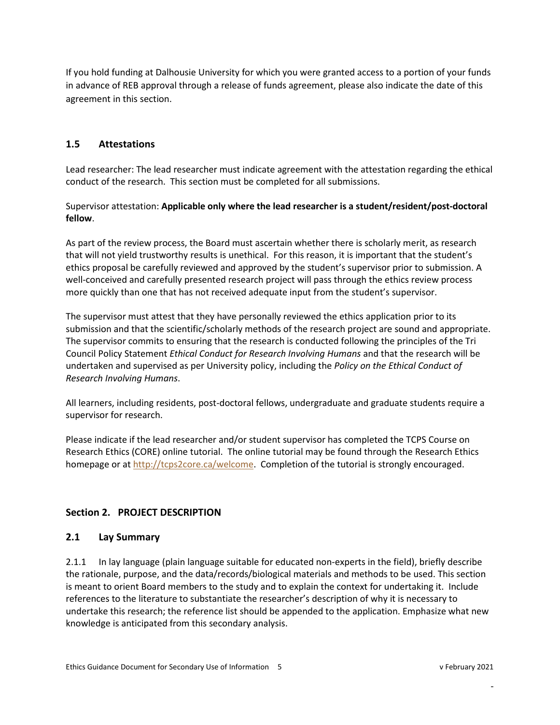If you hold funding at Dalhousie University for which you were granted access to a portion of your funds in advance of REB approval through a release of funds agreement, please also indicate the date of this agreement in this section.

## <span id="page-5-0"></span>**1.5 Attestations**

Lead researcher: The lead researcher must indicate agreement with the attestation regarding the ethical conduct of the research. This section must be completed for all submissions.

Supervisor attestation: **Applicable only where the lead researcher is a student/resident/post-doctoral fellow**.

As part of the review process, the Board must ascertain whether there is scholarly merit, as research that will not yield trustworthy results is unethical. For this reason, it is important that the student's ethics proposal be carefully reviewed and approved by the student's supervisor prior to submission. A well-conceived and carefully presented research project will pass through the ethics review process more quickly than one that has not received adequate input from the student's supervisor.

The supervisor must attest that they have personally reviewed the ethics application prior to its submission and that the scientific/scholarly methods of the research project are sound and appropriate. The supervisor commits to ensuring that the research is conducted following the principles of the Tri Council Policy Statement *Ethical Conduct for Research Involving Humans* and that the research will be undertaken and supervised as per University policy, including the *Policy on the Ethical Conduct of Research Involving Humans*.

All learners, including residents, post-doctoral fellows, undergraduate and graduate students require a supervisor for research.

Please indicate if the lead researcher and/or student supervisor has completed the TCPS Course on Research Ethics (CORE) online tutorial. The online tutorial may be found through the Research Ethics homepage or a[t http://tcps2core.ca/welcome.](http://tcps2core.ca/welcome) Completion of the tutorial is strongly encouraged.

## <span id="page-5-2"></span><span id="page-5-1"></span>**Section 2. PROJECT DESCRIPTION**

## **2.1 Lay Summary**

2.1.1 In lay language (plain language suitable for educated non-experts in the field), briefly describe the rationale, purpose, and the data/records/biological materials and methods to be used. This section is meant to orient Board members to the study and to explain the context for undertaking it. Include references to the literature to substantiate the researcher's description of why it is necessary to undertake this research; the reference list should be appended to the application. Emphasize what new knowledge is anticipated from this secondary analysis.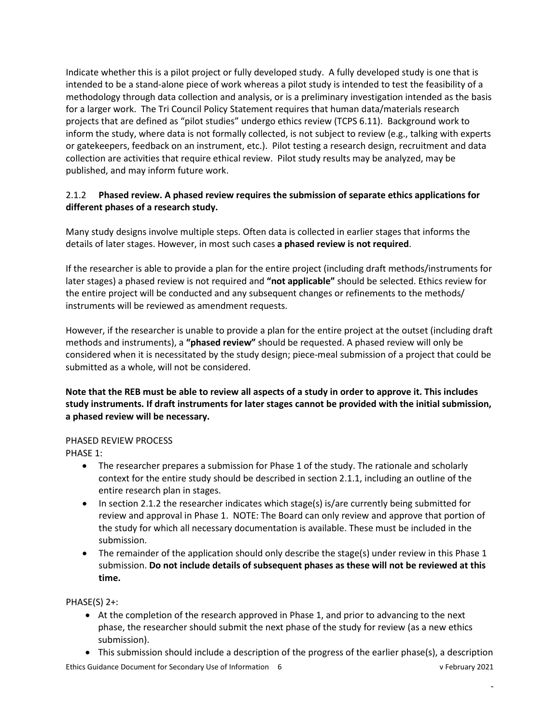Indicate whether this is a pilot project or fully developed study. A fully developed study is one that is intended to be a stand-alone piece of work whereas a pilot study is intended to test the feasibility of a methodology through data collection and analysis, or is a preliminary investigation intended as the basis for a larger work. The Tri Council Policy Statement requires that human data/materials research projects that are defined as "pilot studies" undergo ethics review (TCPS 6.11). Background work to inform the study, where data is not formally collected, is not subject to review (e.g., talking with experts or gatekeepers, feedback on an instrument, etc.). Pilot testing a research design, recruitment and data collection are activities that require ethical review. Pilot study results may be analyzed, may be published, and may inform future work.

#### 2.1.2 **Phased review. A phased review requires the submission of separate ethics applications for different phases of a research study.**

Many study designs involve multiple steps. Often data is collected in earlier stages that informs the details of later stages. However, in most such cases **a phased review is not required**.

If the researcher is able to provide a plan for the entire project (including draft methods/instruments for later stages) a phased review is not required and **"not applicable"** should be selected. Ethics review for the entire project will be conducted and any subsequent changes or refinements to the methods/ instruments will be reviewed as amendment requests.

However, if the researcher is unable to provide a plan for the entire project at the outset (including draft methods and instruments), a **"phased review"** should be requested. A phased review will only be considered when it is necessitated by the study design; piece-meal submission of a project that could be submitted as a whole, will not be considered.

**Note that the REB must be able to review all aspects of a study in order to approve it. This includes study instruments. If draft instruments for later stages cannot be provided with the initial submission, a phased review will be necessary.** 

#### PHASED REVIEW PROCESS

PHASE 1:

- The researcher prepares a submission for Phase 1 of the study. The rationale and scholarly context for the entire study should be described in section 2.1.1, including an outline of the entire research plan in stages.
- In section 2.1.2 the researcher indicates which stage(s) is/are currently being submitted for review and approval in Phase 1. NOTE: The Board can only review and approve that portion of the study for which all necessary documentation is available. These must be included in the submission.
- The remainder of the application should only describe the stage(s) under review in this Phase 1 submission. **Do not include details of subsequent phases as these will not be reviewed at this time.**

PHASE(S) 2+:

- At the completion of the research approved in Phase 1, and prior to advancing to the next phase, the researcher should submit the next phase of the study for review (as a new ethics submission).
- Ethics Guidance Document for Secondary Use of Information 6 v February 2021 • This submission should include a description of the progress of the earlier phase(s), a description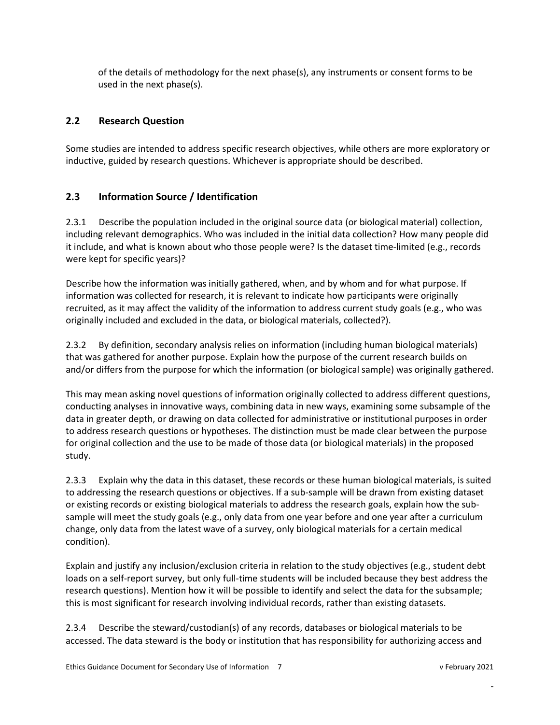of the details of methodology for the next phase(s), any instruments or consent forms to be used in the next phase(s).

## <span id="page-7-0"></span>**2.2 Research Question**

Some studies are intended to address specific research objectives, while others are more exploratory or inductive, guided by research questions. Whichever is appropriate should be described.

## <span id="page-7-1"></span>**2.3 Information Source / Identification**

2.3.1 Describe the population included in the original source data (or biological material) collection, including relevant demographics. Who was included in the initial data collection? How many people did it include, and what is known about who those people were? Is the dataset time-limited (e.g., records were kept for specific years)?

Describe how the information was initially gathered, when, and by whom and for what purpose. If information was collected for research, it is relevant to indicate how participants were originally recruited, as it may affect the validity of the information to address current study goals (e.g., who was originally included and excluded in the data, or biological materials, collected?).

2.3.2 By definition, secondary analysis relies on information (including human biological materials) that was gathered for another purpose. Explain how the purpose of the current research builds on and/or differs from the purpose for which the information (or biological sample) was originally gathered.

This may mean asking novel questions of information originally collected to address different questions, conducting analyses in innovative ways, combining data in new ways, examining some subsample of the data in greater depth, or drawing on data collected for administrative or institutional purposes in order to address research questions or hypotheses. The distinction must be made clear between the purpose for original collection and the use to be made of those data (or biological materials) in the proposed study.

2.3.3 Explain why the data in this dataset, these records or these human biological materials, is suited to addressing the research questions or objectives. If a sub-sample will be drawn from existing dataset or existing records or existing biological materials to address the research goals, explain how the subsample will meet the study goals (e.g., only data from one year before and one year after a curriculum change, only data from the latest wave of a survey, only biological materials for a certain medical condition).

Explain and justify any inclusion/exclusion criteria in relation to the study objectives (e.g., student debt loads on a self-report survey, but only full-time students will be included because they best address the research questions). Mention how it will be possible to identify and select the data for the subsample; this is most significant for research involving individual records, rather than existing datasets.

2.3.4 Describe the steward/custodian(s) of any records, databases or biological materials to be accessed. The data steward is the body or institution that has responsibility for authorizing access and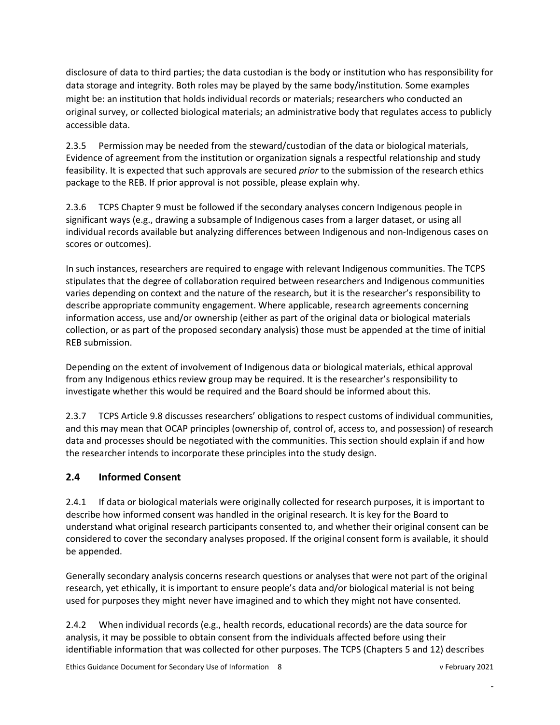disclosure of data to third parties; the data custodian is the body or institution who has responsibility for data storage and integrity. Both roles may be played by the same body/institution. Some examples might be: an institution that holds individual records or materials; researchers who conducted an original survey, or collected biological materials; an administrative body that regulates access to publicly accessible data.

2.3.5 Permission may be needed from the steward/custodian of the data or biological materials, Evidence of agreement from the institution or organization signals a respectful relationship and study feasibility. It is expected that such approvals are secured *prior* to the submission of the research ethics package to the REB. If prior approval is not possible, please explain why.

2.3.6 TCPS Chapter 9 must be followed if the secondary analyses concern Indigenous people in significant ways (e.g., drawing a subsample of Indigenous cases from a larger dataset, or using all individual records available but analyzing differences between Indigenous and non-Indigenous cases on scores or outcomes).

In such instances, researchers are required to engage with relevant Indigenous communities. The TCPS stipulates that the degree of collaboration required between researchers and Indigenous communities varies depending on context and the nature of the research, but it is the researcher's responsibility to describe appropriate community engagement. Where applicable, research agreements concerning information access, use and/or ownership (either as part of the original data or biological materials collection, or as part of the proposed secondary analysis) those must be appended at the time of initial REB submission.

Depending on the extent of involvement of Indigenous data or biological materials, ethical approval from any Indigenous ethics review group may be required. It is the researcher's responsibility to investigate whether this would be required and the Board should be informed about this.

2.3.7 TCPS Article 9.8 discusses researchers' obligations to respect customs of individual communities, and this may mean that OCAP principles (ownership of, control of, access to, and possession) of research data and processes should be negotiated with the communities. This section should explain if and how the researcher intends to incorporate these principles into the study design.

## <span id="page-8-0"></span>**2.4 Informed Consent**

2.4.1 If data or biological materials were originally collected for research purposes, it is important to describe how informed consent was handled in the original research. It is key for the Board to understand what original research participants consented to, and whether their original consent can be considered to cover the secondary analyses proposed. If the original consent form is available, it should be appended.

Generally secondary analysis concerns research questions or analyses that were not part of the original research, yet ethically, it is important to ensure people's data and/or biological material is not being used for purposes they might never have imagined and to which they might not have consented.

2.4.2 When individual records (e.g., health records, educational records) are the data source for analysis, it may be possible to obtain consent from the individuals affected before using their identifiable information that was collected for other purposes. The TCPS (Chapters 5 and 12) describes

Ethics Guidance Document for Secondary Use of Information 8 v February 2021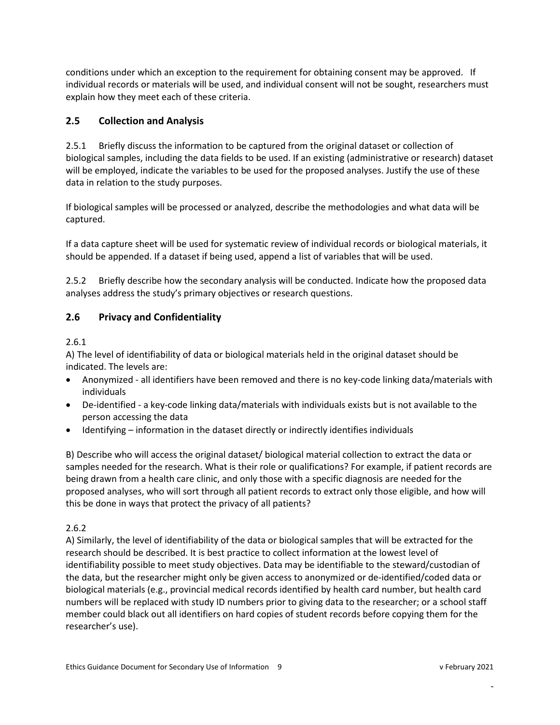conditions under which an exception to the requirement for obtaining consent may be approved. If individual records or materials will be used, and individual consent will not be sought, researchers must explain how they meet each of these criteria.

## <span id="page-9-0"></span>**2.5 Collection and Analysis**

2.5.1 Briefly discuss the information to be captured from the original dataset or collection of biological samples, including the data fields to be used. If an existing (administrative or research) dataset will be employed, indicate the variables to be used for the proposed analyses. Justify the use of these data in relation to the study purposes.

If biological samples will be processed or analyzed, describe the methodologies and what data will be captured.

If a data capture sheet will be used for systematic review of individual records or biological materials, it should be appended. If a dataset if being used, append a list of variables that will be used.

2.5.2 Briefly describe how the secondary analysis will be conducted. Indicate how the proposed data analyses address the study's primary objectives or research questions.

## <span id="page-9-1"></span>**2.6 Privacy and Confidentiality**

#### 2.6.1

A) The level of identifiability of data or biological materials held in the original dataset should be indicated. The levels are:

- Anonymized all identifiers have been removed and there is no key-code linking data/materials with individuals
- De-identified a key-code linking data/materials with individuals exists but is not available to the person accessing the data
- Identifying information in the dataset directly or indirectly identifies individuals

B) Describe who will access the original dataset/ biological material collection to extract the data or samples needed for the research. What is their role or qualifications? For example, if patient records are being drawn from a health care clinic, and only those with a specific diagnosis are needed for the proposed analyses, who will sort through all patient records to extract only those eligible, and how will this be done in ways that protect the privacy of all patients?

## 2.6.2

A) Similarly, the level of identifiability of the data or biological samples that will be extracted for the research should be described. It is best practice to collect information at the lowest level of identifiability possible to meet study objectives. Data may be identifiable to the steward/custodian of the data, but the researcher might only be given access to anonymized or de-identified/coded data or biological materials (e.g., provincial medical records identified by health card number, but health card numbers will be replaced with study ID numbers prior to giving data to the researcher; or a school staff member could black out all identifiers on hard copies of student records before copying them for the researcher's use).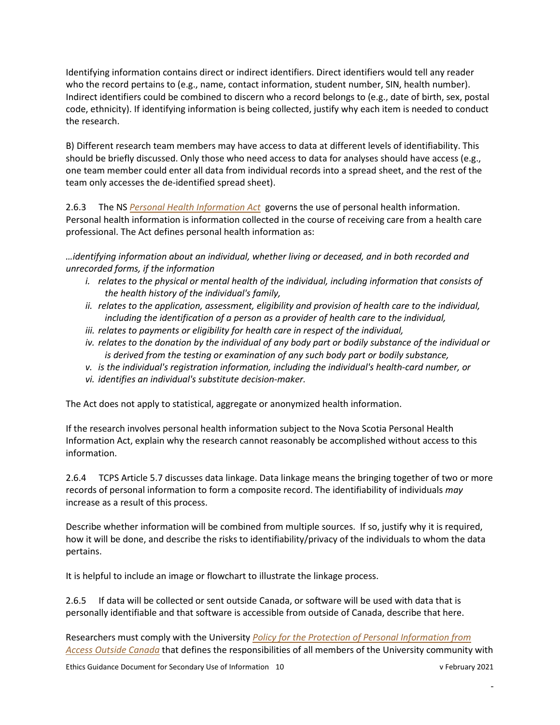Identifying information contains direct or indirect identifiers. Direct identifiers would tell any reader who the record pertains to (e.g., name, contact information, student number, SIN, health number). Indirect identifiers could be combined to discern who a record belongs to (e.g., date of birth, sex, postal code, ethnicity). If identifying information is being collected, justify why each item is needed to conduct the research.

B) Different research team members may have access to data at different levels of identifiability. This should be briefly discussed. Only those who need access to data for analyses should have access (e.g., one team member could enter all data from individual records into a spread sheet, and the rest of the team only accesses the de-identified spread sheet).

2.6.3 The NS *[Personal Health Information Act](https://novascotia.ca/dhw/phia/PHIA-legislation.asp)* governs the use of personal health information. Personal health information is information collected in the course of receiving care from a health care professional. The Act defines personal health information as:

*…identifying information about an individual, whether living or deceased, and in both recorded and unrecorded forms, if the information*

- *i. relates to the physical or mental health of the individual, including information that consists of the health history of the individual's family,*
- *ii. relates to the application, assessment, eligibility and provision of health care to the individual, including the identification of a person as a provider of health care to the individual,*
- *iii. relates to payments or eligibility for health care in respect of the individual,*
- *iv. relates to the donation by the individual of any body part or bodily substance of the individual or is derived from the testing or examination of any such body part or bodily substance,*
- *v. is the individual's registration information, including the individual's health-card number, or*
- *vi. identifies an individual's substitute decision-maker.*

The Act does not apply to statistical, aggregate or anonymized health information.

If the research involves personal health information subject to the Nova Scotia Personal Health Information Act, explain why the research cannot reasonably be accomplished without access to this information.

2.6.4 TCPS Article 5.7 discusses data linkage. Data linkage means the bringing together of two or more records of personal information to form a composite record. The identifiability of individuals *may* increase as a result of this process.

Describe whether information will be combined from multiple sources. If so, justify why it is required, how it will be done, and describe the risks to identifiability/privacy of the individuals to whom the data pertains.

It is helpful to include an image or flowchart to illustrate the linkage process.

2.6.5 If data will be collected or sent outside Canada, or software will be used with data that is personally identifiable and that software is accessible from outside of Canada, describe that here.

Researchers must comply with the University *Policy [for the Protection of Personal Information from](https://cdn.dal.ca/content/dam/dalhousie/pdf/dept/university_secretariat/policy-repository/PreotectionPersonalInfo.pdf)  [Access Outside Canada](https://cdn.dal.ca/content/dam/dalhousie/pdf/dept/university_secretariat/policy-repository/PreotectionPersonalInfo.pdf)* that defines the responsibilities of all members of the University community with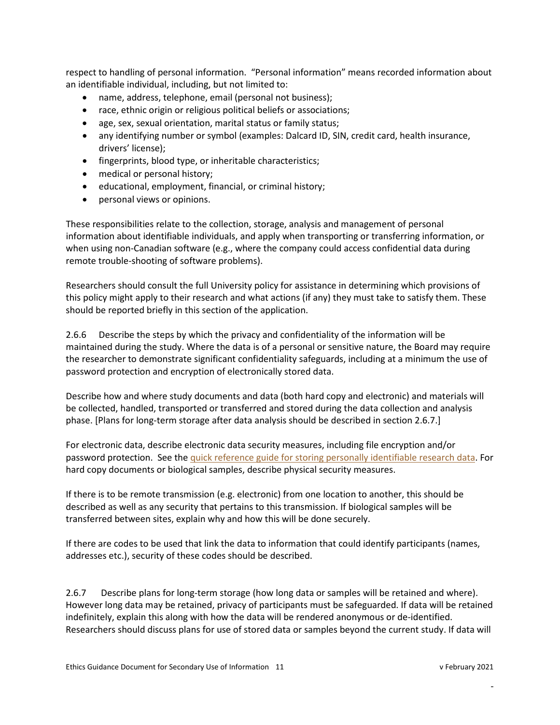respect to handling of personal information. "Personal information" means recorded information about an identifiable individual, including, but not limited to:

- name, address, telephone, email (personal not business);
- race, ethnic origin or religious political beliefs or associations;
- age, sex, sexual orientation, marital status or family status;
- any identifying number or symbol (examples: Dalcard ID, SIN, credit card, health insurance, drivers' license);
- fingerprints, blood type, or inheritable characteristics;
- medical or personal history;
- educational, employment, financial, or criminal history;
- personal views or opinions.

These responsibilities relate to the collection, storage, analysis and management of personal information about identifiable individuals, and apply when transporting or transferring information, or when using non-Canadian software (e.g., where the company could access confidential data during remote trouble-shooting of software problems).

Researchers should consult the full University policy for assistance in determining which provisions of this policy might apply to their research and what actions (if any) they must take to satisfy them. These should be reported briefly in this section of the application.

2.6.6 Describe the steps by which the privacy and confidentiality of the information will be maintained during the study. Where the data is of a personal or sensitive nature, the Board may require the researcher to demonstrate significant confidentiality safeguards, including at a minimum the use of password protection and encryption of electronically stored data.

Describe how and where study documents and data (both hard copy and electronic) and materials will be collected, handled, transported or transferred and stored during the data collection and analysis phase. [Plans for long-term storage after data analysis should be described in section 2.6.7.]

For electronic data, describe electronic data security measures, including file encryption and/or password protection. See the [quick reference guide for storing personally identifiable research](https://cdn.dal.ca/content/dam/dalhousie/pdf/research-services/REB/Protecting%20Electronically%20Stored%20Personally%20Identifiable%20Research%20Data.pdf) data. For hard copy documents or biological samples, describe physical security measures.

If there is to be remote transmission (e.g. electronic) from one location to another, this should be described as well as any security that pertains to this transmission. If biological samples will be transferred between sites, explain why and how this will be done securely.

If there are codes to be used that link the data to information that could identify participants (names, addresses etc.), security of these codes should be described.

2.6.7 Describe plans for long-term storage (how long data or samples will be retained and where). However long data may be retained, privacy of participants must be safeguarded. If data will be retained indefinitely, explain this along with how the data will be rendered anonymous or de-identified. Researchers should discuss plans for use of stored data or samples beyond the current study. If data will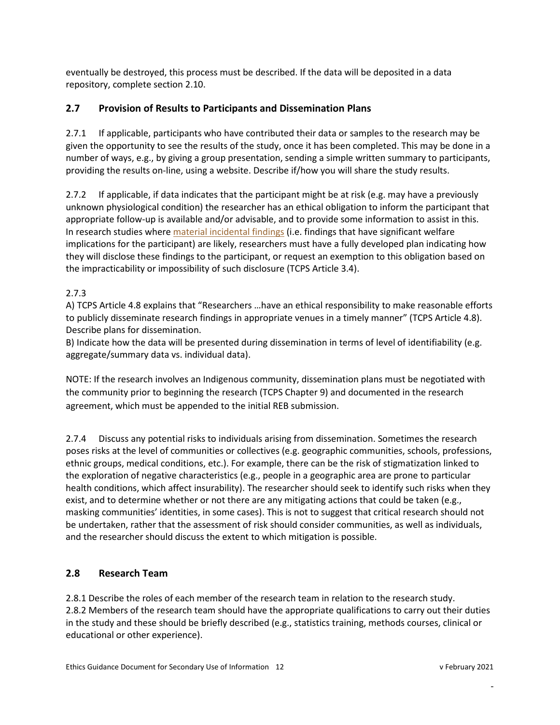eventually be destroyed, this process must be described. If the data will be deposited in a data repository, complete section 2.10.

## <span id="page-12-0"></span>**2.7 Provision of Results to Participants and Dissemination Plans**

2.7.1 If applicable, participants who have contributed their data or samples to the research may be given the opportunity to see the results of the study, once it has been completed. This may be done in a number of ways, e.g., by giving a group presentation, sending a simple written summary to participants, providing the results on-line, using a website. Describe if/how you will share the study results.

2.7.2 If applicable, if data indicates that the participant might be at risk (e.g. may have a previously unknown physiological condition) the researcher has an ethical obligation to inform the participant that appropriate follow-up is available and/or advisable, and to provide some information to assist in this. In research studies where [material incidental findings](http://www.pre.ethics.gc.ca/eng/tcps2-eptc2_2018_chapter3-chapitre3.html#4) (i.e. findings that have significant welfare implications for the participant) are likely, researchers must have a fully developed plan indicating how they will disclose these findings to the participant, or request an exemption to this obligation based on the impracticability or impossibility of such disclosure (TCPS Article 3.4).

## 2.7.3

A) TCPS Article 4.8 explains that "Researchers …have an ethical responsibility to make reasonable efforts to publicly disseminate research findings in appropriate venues in a timely manner" (TCPS Article 4.8). Describe plans for dissemination.

B) Indicate how the data will be presented during dissemination in terms of level of identifiability (e.g. aggregate/summary data vs. individual data).

NOTE: If the research involves an Indigenous community, dissemination plans must be negotiated with the community prior to beginning the research (TCPS Chapter 9) and documented in the research agreement, which must be appended to the initial REB submission.

2.7.4 Discuss any potential risks to individuals arising from dissemination. Sometimes the research poses risks at the level of communities or collectives (e.g. geographic communities, schools, professions, ethnic groups, medical conditions, etc.). For example, there can be the risk of stigmatization linked to the exploration of negative characteristics (e.g., people in a geographic area are prone to particular health conditions, which affect insurability). The researcher should seek to identify such risks when they exist, and to determine whether or not there are any mitigating actions that could be taken (e.g., masking communities' identities, in some cases). This is not to suggest that critical research should not be undertaken, rather that the assessment of risk should consider communities, as well as individuals, and the researcher should discuss the extent to which mitigation is possible.

## <span id="page-12-1"></span>**2.8 Research Team**

2.8.1 Describe the roles of each member of the research team in relation to the research study. 2.8.2 Members of the research team should have the appropriate qualifications to carry out their duties in the study and these should be briefly described (e.g., statistics training, methods courses, clinical or educational or other experience).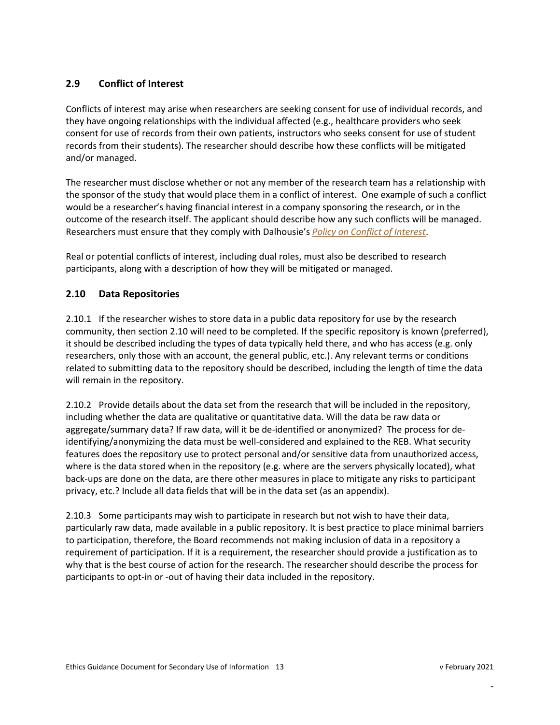## <span id="page-13-0"></span>**2.9 Conflict of Interest**

Conflicts of interest may arise when researchers are seeking consent for use of individual records, and they have ongoing relationships with the individual affected (e.g., healthcare providers who seek consent for use of records from their own patients, instructors who seeks consent for use of student records from their students). The researcher should describe how these conflicts will be mitigated and/or managed.

The researcher must disclose whether or not any member of the research team has a relationship with the sponsor of the study that would place them in a conflict of interest. One example of such a conflict would be a researcher's having financial interest in a company sponsoring the research, or in the outcome of the research itself. The applicant should describe how any such conflicts will be managed. Researchers must ensure that they comply with Dalhousie's *[Policy on Conflict of Interest](https://www.dal.ca/dept/university_secretariat/policies/governance/conflict-of-interest-policy-.html)*.

Real or potential conflicts of interest, including dual roles, must also be described to research participants, along with a description of how they will be mitigated or managed.

#### **2.10 Data Repositories**

2.10.1 If the researcher wishes to store data in a public data repository for use by the research community, then section 2.10 will need to be completed. If the specific repository is known (preferred), it should be described including the types of data typically held there, and who has access (e.g. only researchers, only those with an account, the general public, etc.). Any relevant terms or conditions related to submitting data to the repository should be described, including the length of time the data will remain in the repository.

2.10.2 Provide details about the data set from the research that will be included in the repository, including whether the data are qualitative or quantitative data. Will the data be raw data or aggregate/summary data? If raw data, will it be de-identified or anonymized? The process for deidentifying/anonymizing the data must be well-considered and explained to the REB. What security features does the repository use to protect personal and/or sensitive data from unauthorized access, where is the data stored when in the repository (e.g. where are the servers physically located), what back-ups are done on the data, are there other measures in place to mitigate any risks to participant privacy, etc.? Include all data fields that will be in the data set (as an appendix).

2.10.3 Some participants may wish to participate in research but not wish to have their data, particularly raw data, made available in a public repository. It is best practice to place minimal barriers to participation, therefore, the Board recommends not making inclusion of data in a repository a requirement of participation. If it is a requirement, the researcher should provide a justification as to why that is the best course of action for the research. The researcher should describe the process for participants to opt-in or -out of having their data included in the repository.